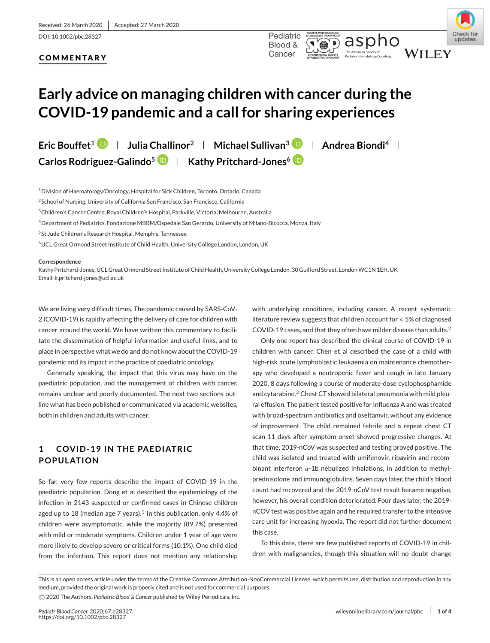DOI: 10.1002/pbc.28327 Pediatric

### Pediatric Hematology/Oncology **COMMENTARY**



Check for

undates

# **Early advice on managing children with cancer during the COVID-19 pandemic and a call for sharing experiences**

**Eric Bouffet<sup>1</sup> <b>D** | Julia Challinor<sup>2</sup> | Michael Sullivan<sup>3</sup> **D** | Andrea Biondi<sup>4</sup> | **Carlos Rodriguez-Galindo<sup>5</sup> <b>D** | Kathy Pritchard-Jones<sup>6</sup> **D** 

1Division of Haematology/Oncology, Hospital for Sick Children, Toronto, Ontario, Canada

2School of Nursing, University of California San Francisco, San Francisco, California

3Children's Cancer Centre, Royal Children's Hospital, Parkville, Victoria, Melbourne, Australia

4Department of Pediatrics, Fondazione MBBM/Ospedale San Gerardo, University of Milano-Bicocca, Monza, Italy

5St Jude Children's Research Hospital, Memphis, Tennessee

6UCL Great Ormond Street Institute of Child Health, University College London, London, UK

#### **Correspondence**

Kathy Pritchard-Jones, UCL Great Ormond Street Institute of Child Health, University College London, 30 Guilford Street, LondonWC1N 1EH, UK Email: k.pritchard-jones@ucl.ac.uk

We are living very difficult times. The pandemic caused by SARS-CoV-2 (COVID-19) is rapidly affecting the delivery of care for children with cancer around the world. We have written this commentary to facilitate the dissemination of helpful information and useful links, and to place in perspective what we do and do not know about the COVID-19 pandemic and its impact in the practice of paediatric oncology.

Generally speaking, the impact that this virus may have on the paediatric population, and the management of children with cancer, remains unclear and poorly documented. The next two sections outline what has been published or communicated via academic websites, both in children and adults with cancer.

## **1 COVID-19 IN THE PAEDIATRIC POPULATION**

So far, very few reports describe the impact of COVID-19 in the paediatric population. Dong et al described the epidemiology of the infection in 2143 suspected or confirmed cases in Chinese children aged up to 18 (median age 7 years).<sup>1</sup> In this publication, only 4.4% of children were asymptomatic, while the majority (89.7%) presented with mild or moderate symptoms. Children under 1 year of age were more likely to develop severe or critical forms (10.1%). One child died from the infection. This report does not mention any relationship with underlying conditions, including cancer. A recent systematic literature review suggests that children account for *<* 5% of diagnosed COVID-19 cases, and that they often have milder disease than adults.<sup>2</sup>

Only one report has described the clinical course of COVID-19 in children with cancer. Chen et al described the case of a child with high-risk acute lymphoblastic leukaemia on maintenance chemotherapy who developed a neutropenic fever and cough in late January 2020, 8 days following a course of moderate-dose cyclophosphamide and cytarabine.<sup>3</sup> Chest CT showed bilateral pneumonia with mild pleural effusion. The patient tested positive for Influenza A and was treated with broad-spectrum antibiotics and oseltamvir, without any evidence of improvement. The child remained febrile and a repeat chest CT scan 11 days after symptom onset showed progressive changes. At that time, 2019-nCoV was suspected and testing proved positive. The child was isolated and treated with umifenovir, ribavirin and recombinant interferon  $\alpha$ -1b nebulized inhalations, in addition to methylprednisolone and immunoglobulins. Seven days later, the child's blood count had recovered and the 2019-nCoV test result became negative, however, his overall condition deteriorated. Four days later, the 2019 nCOV test was positive again and he required transfer to the intensive care unit for increasing hypoxia. The report did not further document this case.

To this date, there are few published reports of COVID-19 in children with malignancies, though this situation will no doubt change

This is an open access article under the terms of the [Creative Commons Attribution-NonCommercial](http://creativecommons.org/licenses/by-nc/4.0/) License, which permits use, distribution and reproduction in any medium, provided the original work is properly cited and is not used for commercial purposes. -c 2020 The Authors. *Pediatric Blood & Cancer* published by Wiley Periodicals, Inc.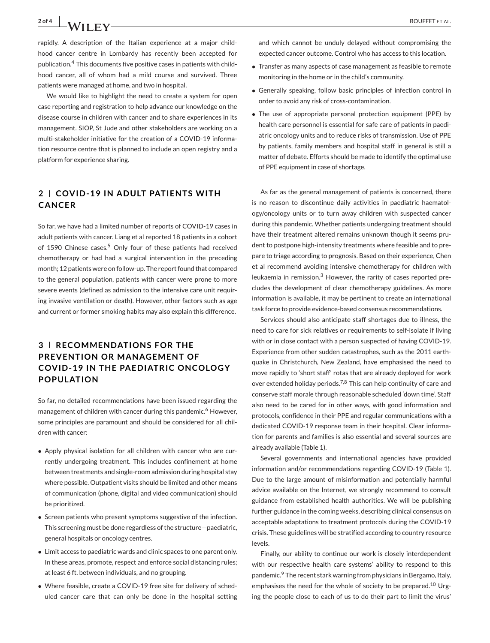2 of 4 **b** BOUFFET ET AL.

rapidly. A description of the Italian experience at a major childhood cancer centre in Lombardy has recently been accepted for publication.<sup>4</sup> This documents five positive cases in patients with childhood cancer, all of whom had a mild course and survived. Three patients were managed at home, and two in hospital.

We would like to highlight the need to create a system for open case reporting and registration to help advance our knowledge on the disease course in children with cancer and to share experiences in its management. SIOP, St Jude and other stakeholders are working on a multi-stakeholder initiative for the creation of a COVID-19 information resource centre that is planned to include an open registry and a platform for experience sharing.

## **2 COV ID-19 IN ADULT PAT IENTS W ITH CANCER**

So far, we have had a limited number of reports of COVID-19 cases in adult patients with cancer. Liang et al reported 18 patients in a cohort of 1590 Chinese cases.<sup>5</sup> Only four of these patients had received chemotherapy or had had a surgical intervention in the preceding month; 12 patients were on follow-up. The report found that compared to the general population, patients with cancer were prone to more severe events (defined as admission to the intensive care unit requiring invasive ventilation or death). However, other factors such as age and current or former smoking habits may also explain this difference.

## **3 RECOMMENDATIONS FOR THE PREVENTION OR MANAGEMENT OF COVID-19 IN THE PAEDIATRIC ONCOLOGY POPULATION**

So far, no detailed recommendations have been issued regarding the management of children with cancer during this pandemic.<sup>6</sup> However, some principles are paramount and should be considered for all children with cancer:

- Apply physical isolation for all children with cancer who are currently undergoing treatment. This includes confinement at home between treatments and single-room admission during hospital stay where possible. Outpatient visits should be limited and other means of communication (phone, digital and video communication) should be prioritized.
- Screen patients who present symptoms suggestive of the infection. This screening must be done regardless of the structure—paediatric, general hospitals or oncology centres.
- Limit access to paediatric wards and clinic spaces to one parent only. In these areas, promote, respect and enforce social distancing rules; at least 6 ft. between individuals, and no grouping.
- Where feasible, create a COVID-19 free site for delivery of scheduled cancer care that can only be done in the hospital setting

and which cannot be unduly delayed without compromising the expected cancer outcome. Control who has access to this location.

- Transfer as many aspects of case management as feasible to remote monitoring in the home or in the child's community.
- Generally speaking, follow basic principles of infection control in order to avoid any risk of cross-contamination.
- The use of appropriate personal protection equipment (PPE) by health care personnel is essential for safe care of patients in paediatric oncology units and to reduce risks of transmission. Use of PPE by patients, family members and hospital staff in general is still a matter of debate. Efforts should be made to identify the optimal use of PPE equipment in case of shortage.

As far as the general management of patients is concerned, there is no reason to discontinue daily activities in paediatric haematology/oncology units or to turn away children with suspected cancer during this pandemic. Whether patients undergoing treatment should have their treatment altered remains unknown though it seems prudent to postpone high-intensity treatments where feasible and to prepare to triage according to prognosis. Based on their experience, Chen et al recommend avoiding intensive chemotherapy for children with leukaemia in remission.<sup>3</sup> However, the rarity of cases reported precludes the development of clear chemotherapy guidelines. As more information is available, it may be pertinent to create an international task force to provide evidence-based consensus recommendations.

Services should also anticipate staff shortages due to illness, the need to care for sick relatives or requirements to self-isolate if living with or in close contact with a person suspected of having COVID-19. Experience from other sudden catastrophes, such as the 2011 earthquake in Christchurch, New Zealand, have emphasised the need to move rapidly to 'short staff' rotas that are already deployed for work over extended holiday periods.7,8 This can help continuity of care and conserve staff morale through reasonable scheduled 'down time'. Staff also need to be cared for in other ways, with good information and protocols, confidence in their PPE and regular communications with a dedicated COVID-19 response team in their hospital. Clear information for parents and families is also essential and several sources are already available (Table 1).

Several governments and international agencies have provided information and/or recommendations regarding COVID-19 (Table 1). Due to the large amount of misinformation and potentially harmful advice available on the Internet, we strongly recommend to consult guidance from established health authorities. We will be publishing further guidance in the coming weeks, describing clinical consensus on acceptable adaptations to treatment protocols during the COVID-19 crisis. These guidelines will be stratified according to country resource levels.

Finally, our ability to continue our work is closely interdependent with our respective health care systems' ability to respond to this pandemic.9 The recent stark warning from physicians in Bergamo, Italy, emphasises the need for the whole of society to be prepared.<sup>10</sup> Urging the people close to each of us to do their part to limit the virus'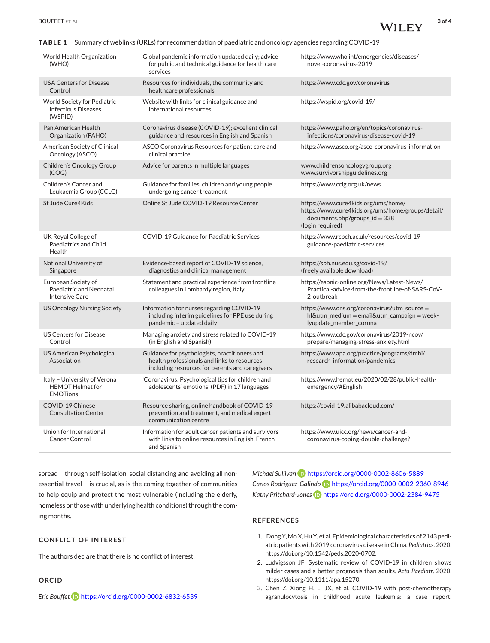**TABLE 1** Summary of weblinks (URLs) for recommendation of paediatric and oncology agencies regarding COVID-19

| World Health Organization<br>(WHO)                                          | Global pandemic information updated daily; advice<br>for public and technical guidance for health care<br>services                             | https://www.who.int/emergencies/diseases/<br>novel-coronavirus-2019                                                                             |
|-----------------------------------------------------------------------------|------------------------------------------------------------------------------------------------------------------------------------------------|-------------------------------------------------------------------------------------------------------------------------------------------------|
| <b>USA Centers for Disease</b><br>Control                                   | Resources for individuals, the community and<br>healthcare professionals                                                                       | https://www.cdc.gov/coronavirus                                                                                                                 |
| <b>World Society for Pediatric</b><br><b>Infectious Diseases</b><br>(WSPID) | Website with links for clinical guidance and<br>international resources                                                                        | https://wspid.org/covid-19/                                                                                                                     |
| Pan American Health<br>Organization (PAHO)                                  | Coronavirus disease (COVID-19); excellent clinical<br>guidance and resources in English and Spanish                                            | https://www.paho.org/en/topics/coronavirus-<br>infections/coronavirus-disease-covid-19                                                          |
| American Society of Clinical<br>Oncology (ASCO)                             | ASCO Coronavirus Resources for patient care and<br>clinical practice                                                                           | https://www.asco.org/asco-coronavirus-information                                                                                               |
| Children's Oncology Group<br>(COG)                                          | Advice for parents in multiple languages                                                                                                       | www.childrensoncologygroup.org<br>www.survivorshipguidelines.org                                                                                |
| Children's Cancer and<br>Leukaemia Group (CCLG)                             | Guidance for families, children and young people<br>undergoing cancer treatment                                                                | https://www.cclg.org.uk/news                                                                                                                    |
| St Jude Cure4Kids                                                           | Online St Jude COVID-19 Resource Center                                                                                                        | https://www.cure4kids.org/ums/home/<br>https://www.cure4kids.org/ums/home/groups/detail/<br>$documents.php?groups_id = 338$<br>(login required) |
| UK Royal College of<br>Paediatrics and Child<br>Health                      | COVID-19 Guidance for Paediatric Services                                                                                                      | https://www.rcpch.ac.uk/resources/covid-19-<br>guidance-paediatric-services                                                                     |
| National University of<br>Singapore                                         | Evidence-based report of COVID-19 science,<br>diagnostics and clinical management                                                              | https://sph.nus.edu.sg/covid-19/<br>(freely available download)                                                                                 |
| European Society of<br>Paediatric and Neonatal<br><b>Intensive Care</b>     | Statement and practical experience from frontline<br>colleagues in Lombardy region, Italy                                                      | https://espnic-online.org/News/Latest-News/<br>Practical-advice-from-the-frontline-of-SARS-CoV-<br>2-outbreak                                   |
| <b>US Oncology Nursing Society</b>                                          | Information for nurses regarding COVID-19<br>including interim guidelines for PPE use during<br>pandemic - updated daily                       | https://www.ons.org/coronavirus?utm_source =<br>hl&utm_medium = email&utm_campaign = week-<br>lyupdate_member_corona                            |
| <b>US Centers for Disease</b><br>Control                                    | Managing anxiety and stress related to COVID-19<br>(in English and Spanish)                                                                    | https://www.cdc.gov/coronavirus/2019-ncov/<br>prepare/managing-stress-anxiety.html                                                              |
| <b>US American Psychological</b><br>Association                             | Guidance for psychologists, practitioners and<br>health professionals and links to resources<br>including resources for parents and caregivers | https://www.apa.org/practice/programs/dmhi/<br>research-information/pandemics                                                                   |
| Italy - University of Verona<br><b>HEMOT Helmet for</b><br><b>EMOTions</b>  | 'Coronavirus: Psychological tips for children and<br>adolescents' emotions' (PDF) in 17 languages                                              | https://www.hemot.eu/2020/02/28/public-health-<br>emergency/#English                                                                            |
| COVID-19 Chinese<br><b>Consultation Center</b>                              | Resource sharing, online handbook of COVID-19<br>prevention and treatment, and medical expert<br>communication centre                          | https://covid-19.alibabacloud.com/                                                                                                              |
| Union for International<br><b>Cancer Control</b>                            | Information for adult cancer patients and survivors<br>with links to online resources in English, French<br>and Spanish                        | https://www.uicc.org/news/cancer-and-<br>coronavirus-coping-double-challenge?                                                                   |

spread – through self-isolation, social distancing and avoiding all nonessential travel – is crucial, as is the coming together of communities to help equip and protect the most vulnerable (including the elderly, homeless or those with underlying health conditions) through the coming months.

#### **CONFLICT OF INTEREST**

The authors declare that there is no conflict of interest.

#### **ORCID**

*Eric Bouffet* <https://orcid.org/0000-0002-6832-6539>

*Michael Sullivan* **b** <https://orcid.org/0000-0002-8606-5889> *Carlos Rodriguez-Galindo* <https://orcid.org/0000-0002-2360-8946> Kathy Pritchard-Jones<sup>ID</sup> <https://orcid.org/0000-0002-2384-9475>

### **REFERENCES**

- 1. Dong Y,Mo X, Hu Y, et al. Epidemiological characteristics of 2143 pediatric patients with 2019 coronavirus disease in China. *Pediatrics*. 2020. [https://doi.org/10.1542/peds.2020-0702.](https://doi.org/10.1542/peds.2020-0702)
- 2. Ludvigsson JF. Systematic review of COVID-19 in children shows milder cases and a better prognosis than adults. *Acta Paediatr*. 2020. [https://doi.org/10.1111/apa.15270.](https://doi.org/10.1111/apa.15270)
- 3. Chen Z, Xiong H, Li JX, et al. COVID-19 with post-chemotherapy agranulocytosis in childhood acute leukemia: a case report.